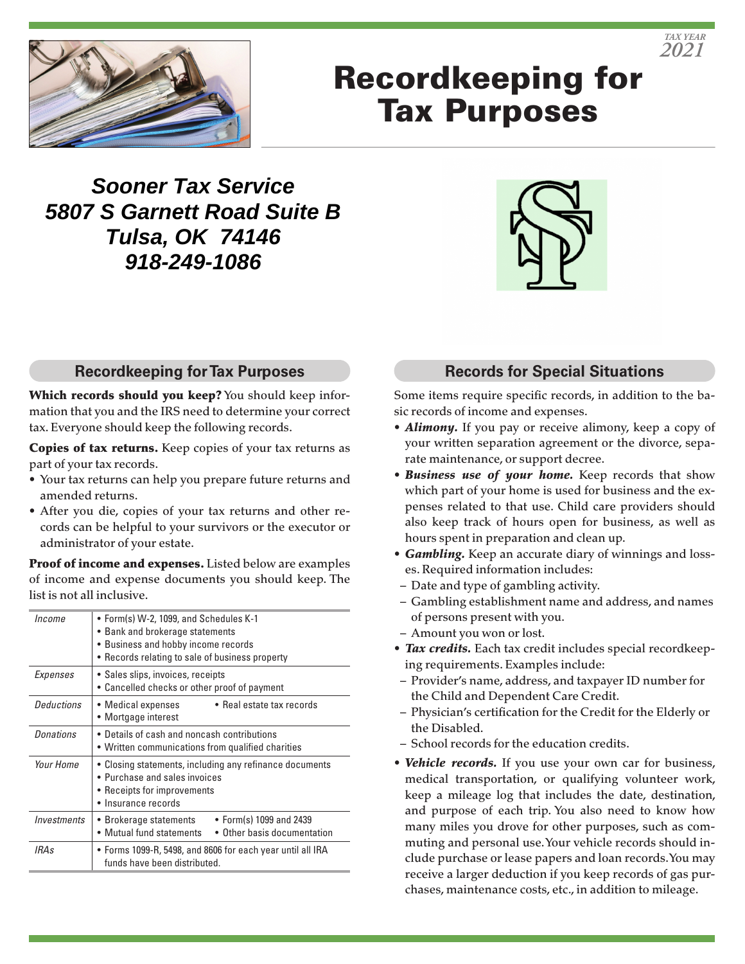

# Recordkeeping for Tax Purposes

**Sooner Tax Service 5807 S Garnett Road Suite B Tulsa, OK 74146 918-249-1086**



#### **Recordkeeping for Tax Purposes**

Which records should you keep? You should keep information that you and the IRS need to determine your correct tax. Everyone should keep the following records.

Copies of tax returns. Keep copies of your tax returns as part of your tax records.

- Your tax returns can help you prepare future returns and amended returns.
- After you die, copies of your tax returns and other records can be helpful to your survivors or the executor or administrator of your estate.

Proof of income and expenses. Listed below are examples of income and expense documents you should keep. The list is not all inclusive.

| • Form(s) W-2, 1099, and Schedules K-1<br>• Bank and brokerage statements<br>• Business and hobby income records<br>• Records relating to sale of business property |  |
|---------------------------------------------------------------------------------------------------------------------------------------------------------------------|--|
| • Sales slips, invoices, receipts<br>• Cancelled checks or other proof of payment                                                                                   |  |
| • Real estate tax records<br>• Medical expenses<br>• Mortgage interest                                                                                              |  |
| • Details of cash and noncash contributions<br>• Written communications from qualified charities                                                                    |  |
| • Closing statements, including any refinance documents<br>• Purchase and sales invoices<br>• Receipts for improvements<br>• Insurance records                      |  |
| • Form(s) 1099 and 2439<br>• Brokerage statements<br>• Mutual fund statements<br>• Other basis documentation                                                        |  |
| • Forms 1099-R, 5498, and 8606 for each year until all IRA<br>funds have been distributed.                                                                          |  |
|                                                                                                                                                                     |  |

### **Records for Special Situations**

Some items require specific records, in addition to the basic records of income and expenses.

- *Alimony.* If you pay or receive alimony, keep a copy of your written separation agreement or the divorce, separate maintenance, or support decree.
- *Business use of your home.* Keep records that show which part of your home is used for business and the expenses related to that use. Child care providers should also keep track of hours open for business, as well as hours spent in preparation and clean up.
- *Gambling.* Keep an accurate diary of winnings and losses. Required information includes:
- Date and type of gambling activity.
- Gambling establishment name and address, and names of persons present with you.
- Amount you won or lost.
- *Tax credits.* Each tax credit includes special recordkeeping requirements. Examples include:
- Provider's name, address, and taxpayer ID number for the Child and Dependent Care Credit.
- Physician's certification for the Credit for the Elderly or the Disabled.
- School records for the education credits.
- *Vehicle records.* If you use your own car for business, medical transportation, or qualifying volunteer work, keep a mileage log that includes the date, destination, and purpose of each trip. You also need to know how many miles you drove for other purposes, such as commuting and personal use. Your vehicle records should include purchase or lease papers and loan records. You may receive a larger deduction if you keep records of gas purchases, maintenance costs, etc., in addition to mileage.

*TAX YEAR 2021*